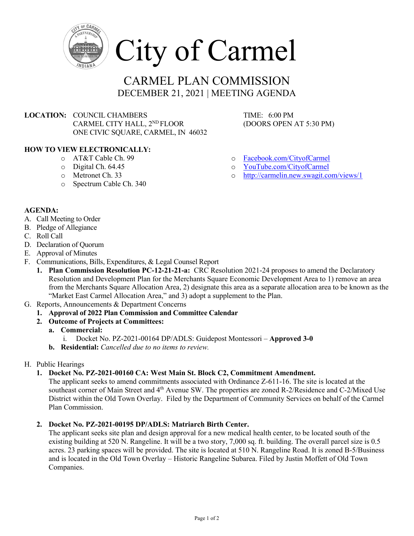

# CARMEL PLAN COMMISSION DECEMBER 21, 2021 | MEETING AGENDA

**LOCATION:** COUNCIL CHAMBERS TIME: 6:00 PM CARMEL CITY HALL,  $2^{ND}$  FLOOR (DOORS OPEN AT 5:30 PM) ONE CIVIC SQUARE, CARMEL, IN 46032

# **HOW TO VIEW ELECTRONICALLY:**

- o AT&T Cable Ch. 99
- o Digital Ch. 64.45
- o Metronet Ch. 33
- o Spectrum Cable Ch. 340
- o [Facebook.com/CityofCarmel](https://www.facebook.com/CityofCarmel/)
- o <u>[YouTube.com/CityofCarmel](https://www.youtube.com/channel/UCehYsbi2i8jGvjkmE9cSPmg)</u><br>http://carmelin.new.swagit.co
- <http://carmelin.new.swagit.com/views/1>

# **AGENDA:**

- A. Call Meeting to Order
- B. Pledge of Allegiance
- C. Roll Call
- D. Declaration of Quorum
- E. Approval of Minutes
- F. Communications, Bills, Expenditures, & Legal Counsel Report
	- **1. Plan Commission Resolution PC-12-21-21-a:** CRC Resolution 2021-24 proposes to amend the Declaratory Resolution and Development Plan for the Merchants Square Economic Development Area to 1) remove an area from the Merchants Square Allocation Area, 2) designate this area as a separate allocation area to be known as the "Market East Carmel Allocation Area," and 3) adopt a supplement to the Plan.
- G. Reports, Announcements & Department Concerns
	- **1. Approval of 2022 Plan Commission and Committee Calendar**
	- **2. Outcome of Projects at Committees:**
		- **a. Commercial:**
			- i. Docket No. PZ-2021-00164 DP/ADLS: Guidepost Montessori **Approved 3-0**
		- **b. Residential:** *Cancelled due to no items to review.*
- H. Public Hearings
	- **1. Docket No. PZ-2021-00160 CA: West Main St. Block C2, Commitment Amendment.**

The applicant seeks to amend commitments associated with Ordinance Z-611-16. The site is located at the southeast corner of Main Street and 4<sup>th</sup> Avenue SW. The properties are zoned R-2/Residence and C-2/Mixed Use District within the Old Town Overlay. Filed by the Department of Community Services on behalf of the Carmel Plan Commission.

**2. Docket No. PZ-2021-00195 DP/ADLS: Matriarch Birth Center.**

The applicant seeks site plan and design approval for a new medical health center, to be located south of the existing building at 520 N. Rangeline. It will be a two story, 7,000 sq. ft. building. The overall parcel size is 0.5 acres. 23 parking spaces will be provided. The site is located at 510 N. Rangeline Road. It is zoned B-5/Business and is located in the Old Town Overlay – Historic Rangeline Subarea. Filed by Justin Moffett of Old Town Companies.